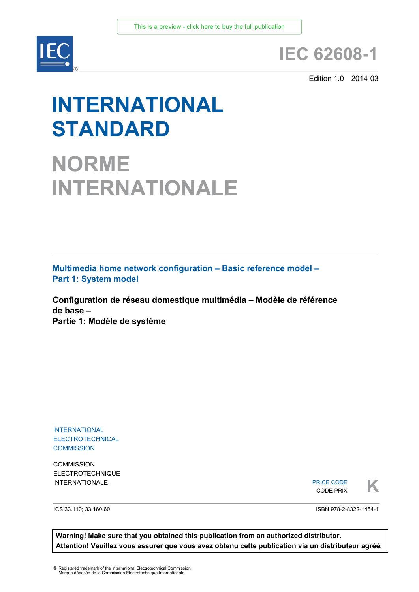

# **IEC 62608-1**

Edition 1.0 2014-03

# **INTERNATIONAL STANDARD**

**NORME INTERNATIONALE**

**Multimedia home network configuration – Basic reference model – Part 1: System model**

**Configuration de réseau domestique multimédia – Modèle de référence de base – Partie 1: Modèle de système**

INTERNATIONAL **ELECTROTECHNICAL COMMISSION** 

**COMMISSION** ELECTROTECHNIQUE

INTERNATIONALE PRICE CODE PRIX PRICE CODE CODE PRIX



ICS 33.110; 33.160.60

ISBN 978-2-8322-1454-1

**Warning! Make sure that you obtained this publication from an authorized distributor. Attention! Veuillez vous assurer que vous avez obtenu cette publication via un distributeur agréé.**

® Registered trademark of the International Electrotechnical Commission Marque déposée de la Commission Electrotechnique Internationale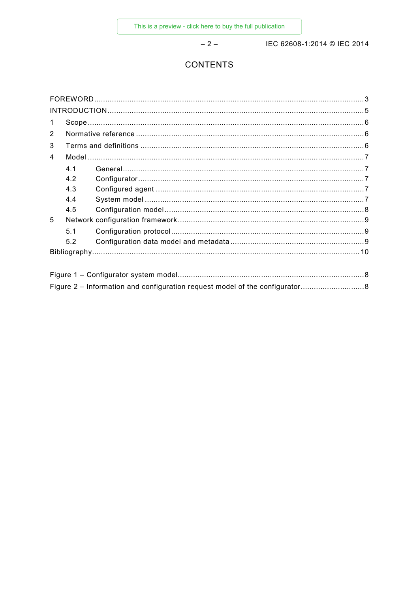$-2-$ 

IEC 62608-1:2014 © IEC 2014

# **CONTENTS**

| 1              |     |  |  |  |  |
|----------------|-----|--|--|--|--|
| $\overline{2}$ |     |  |  |  |  |
| 3              |     |  |  |  |  |
| 4              |     |  |  |  |  |
|                | 4.1 |  |  |  |  |
|                | 4.2 |  |  |  |  |
|                | 4.3 |  |  |  |  |
|                | 4.4 |  |  |  |  |
|                | 4.5 |  |  |  |  |
| 5              |     |  |  |  |  |
|                | 5.1 |  |  |  |  |
|                | 5.2 |  |  |  |  |
|                |     |  |  |  |  |
|                |     |  |  |  |  |
|                |     |  |  |  |  |
|                |     |  |  |  |  |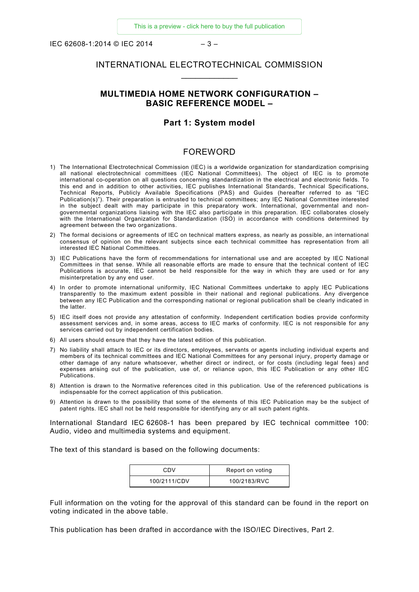IEC 62608-1:2014 © IEC 2014  $-3-$ 

# INTERNATIONAL ELECTROTECHNICAL COMMISSION \_\_\_\_\_\_\_\_\_\_\_\_

# **MULTIMEDIA HOME NETWORK CONFIGURATION – BASIC REFERENCE MODEL –**

#### **Part 1: System model**

# FOREWORD

- 1) The International Electrotechnical Commission (IEC) is a worldwide organization for standardization comprising all national electrotechnical committees (IEC National Committees). The object of IEC is to promote international co-operation on all questions concerning standardization in the electrical and electronic fields. To this end and in addition to other activities, IEC publishes International Standards, Technical Specifications, Technical Reports, Publicly Available Specifications (PAS) and Guides (hereafter referred to as "IEC Publication(s)"). Their preparation is entrusted to technical committees; any IEC National Committee interested in the subject dealt with may participate in this preparatory work. International, governmental and nongovernmental organizations liaising with the IEC also participate in this preparation. IEC collaborates closely with the International Organization for Standardization (ISO) in accordance with conditions determined by agreement between the two organizations.
- 2) The formal decisions or agreements of IEC on technical matters express, as nearly as possible, an international consensus of opinion on the relevant subjects since each technical committee has representation from all interested IEC National Committees.
- 3) IEC Publications have the form of recommendations for international use and are accepted by IEC National Committees in that sense. While all reasonable efforts are made to ensure that the technical content of IEC Publications is accurate, IEC cannot be held responsible for the way in which they are used or for any misinterpretation by any end user.
- 4) In order to promote international uniformity, IEC National Committees undertake to apply IEC Publications transparently to the maximum extent possible in their national and regional publications. Any divergence between any IEC Publication and the corresponding national or regional publication shall be clearly indicated in the latter.
- 5) IEC itself does not provide any attestation of conformity. Independent certification bodies provide conformity assessment services and, in some areas, access to IEC marks of conformity. IEC is not responsible for any services carried out by independent certification bodies.
- 6) All users should ensure that they have the latest edition of this publication.
- 7) No liability shall attach to IEC or its directors, employees, servants or agents including individual experts and members of its technical committees and IEC National Committees for any personal injury, property damage or other damage of any nature whatsoever, whether direct or indirect, or for costs (including legal fees) and expenses arising out of the publication, use of, or reliance upon, this IEC Publication or any other IEC Publications.
- 8) Attention is drawn to the Normative references cited in this publication. Use of the referenced publications is indispensable for the correct application of this publication.
- 9) Attention is drawn to the possibility that some of the elements of this IEC Publication may be the subject of patent rights. IEC shall not be held responsible for identifying any or all such patent rights.

International Standard IEC 62608-1 has been prepared by IEC technical committee 100: Audio, video and multimedia systems and equipment.

The text of this standard is based on the following documents:

| CDV          | Report on voting |
|--------------|------------------|
| 100/2111/CDV | 100/2183/RVC     |

Full information on the voting for the approval of this standard can be found in the report on voting indicated in the above table.

This publication has been drafted in accordance with the ISO/IEC Directives, Part 2.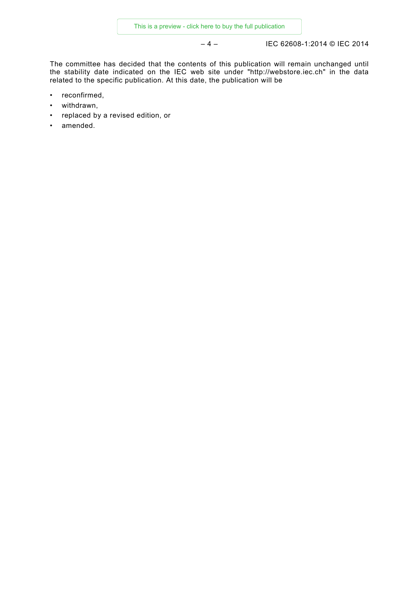– 4 – IEC 62608-1:2014 © IEC 2014

The committee has decided that the contents of this publication will remain unchanged until the stability date indicated on the IEC web site under "http://webstore.iec.ch" in the data related to the specific publication. At this date, the publication will be

- reconfirmed,
- withdrawn,
- replaced by a revised edition, or
- amended.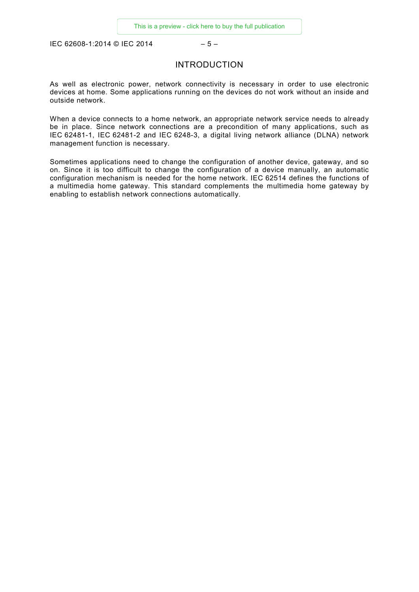IEC 62608-1:2014 © IEC 2014  $-5-$ 

# INTRODUCTION

As well as electronic power, network connectivity is necessary in order to use electronic devices at home. Some applications running on the devices do not work without an inside and outside network.

When a device connects to a home network, an appropriate network service needs to already be in place. Since network connections are a precondition of many applications, such as IEC 62481-1, IEC 62481-2 and IEC 6248-3, a digital living network alliance (DLNA) network management function is necessary.

Sometimes applications need to change the configuration of another device, gateway, and so on. Since it is too difficult to change the configuration of a device manually, an automatic configuration mechanism is needed for the home network. IEC 62514 defines the functions of a multimedia home gateway. This standard complements the multimedia home gateway by enabling to establish network connections automatically.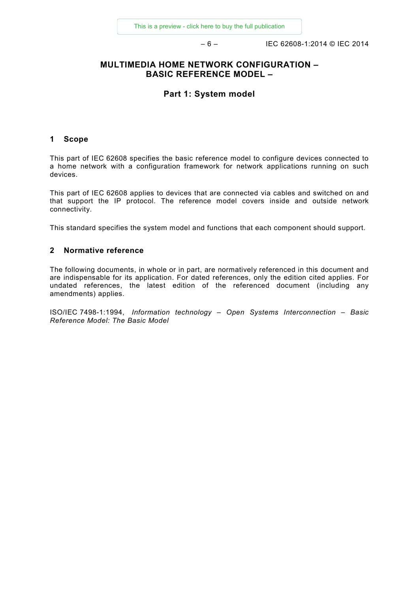– 6 – IEC 62608-1:2014 © IEC 2014

# **MULTIMEDIA HOME NETWORK CONFIGURATION – BASIC REFERENCE MODEL –**

# **Part 1: System model**

#### **1 Scope**

This part of IEC 62608 specifies the basic reference model to configure devices connected to a home network with a configuration framework for network applications running on such devices.

This part of IEC 62608 applies to devices that are connected via cables and switched on and that support the IP protocol. The reference model covers inside and outside network connectivity.

This standard specifies the system model and functions that each component should support.

#### **2 Normative reference**

The following documents, in whole or in part, are normatively referenced in this document and are indispensable for its application. For dated references, only the edition cited applies. For undated references, the latest edition of the referenced document (including any amendments) applies.

ISO/IEC 7498-1:1994, *Information technology – Open Systems Interconnection – Basic Reference Model: The Basic Model*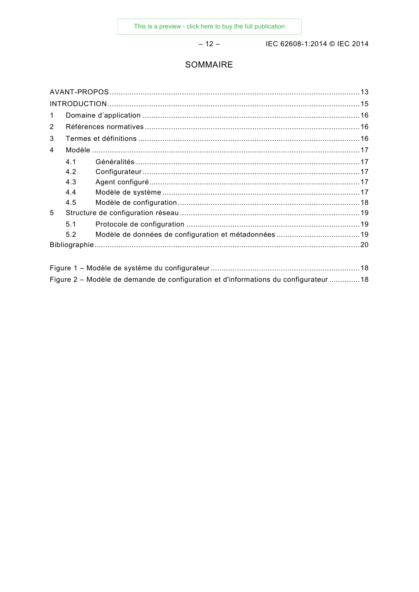$-12-$ 

IEC 62608-1:2014 © IEC 2014

# SOMMAIRE

| 1              |     |                                                                                     |  |  |  |
|----------------|-----|-------------------------------------------------------------------------------------|--|--|--|
| 2              |     |                                                                                     |  |  |  |
| 3              |     |                                                                                     |  |  |  |
| $\overline{4}$ |     |                                                                                     |  |  |  |
|                | 4.1 |                                                                                     |  |  |  |
|                | 4.2 |                                                                                     |  |  |  |
|                | 4.3 |                                                                                     |  |  |  |
|                | 4.4 |                                                                                     |  |  |  |
|                | 4.5 |                                                                                     |  |  |  |
| 5              |     |                                                                                     |  |  |  |
|                | 5.1 |                                                                                     |  |  |  |
|                | 5.2 |                                                                                     |  |  |  |
|                |     |                                                                                     |  |  |  |
|                |     |                                                                                     |  |  |  |
|                |     |                                                                                     |  |  |  |
|                |     | Figure 2 – Modèle de demande de configuration et d'informations du configurateur 18 |  |  |  |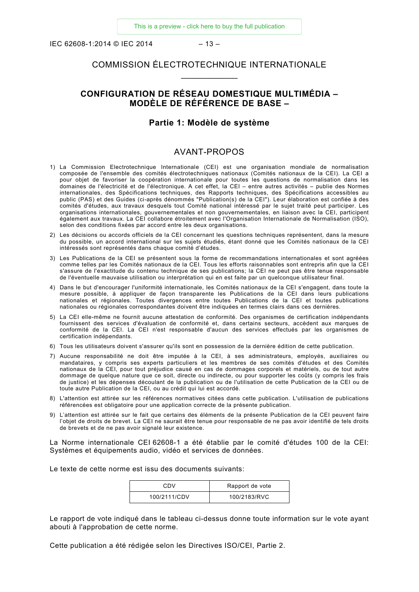IEC 62608-1:2014 © IEC 2014 – 13 –

# COMMISSION ÉLECTROTECHNIQUE INTERNATIONALE \_\_\_\_\_\_\_\_\_\_\_\_

# **CONFIGURATION DE RÉSEAU DOMESTIQUE MULTIMÉDIA – MODÈLE DE RÉFÉRENCE DE BASE –**

#### **Partie 1: Modèle de système**

#### AVANT-PROPOS

- 1) La Commission Electrotechnique Internationale (CEI) est une organisation mondiale de normalisation composée de l'ensemble des comités électrotechniques nationaux (Comités nationaux de la CEI). La CEI a pour objet de favoriser la coopération internationale pour toutes les questions de normalisation dans les domaines de l'électricité et de l'électronique. A cet effet, la CEI – entre autres activités – publie des Normes internationales, des Spécifications techniques, des Rapports techniques, des Spécifications accessibles au public (PAS) et des Guides (ci-après dénommés "Publication(s) de la CEI"). Leur élaboration est confiée à des comités d'études, aux travaux desquels tout Comité national intéressé par le sujet traité peut participer. Les organisations internationales, gouvernementales et non gouvernementales, en liaison avec la CEI, participent également aux travaux. La CEI collabore étroitement avec l'Organisation Internationale de Normalisation (ISO), selon des conditions fixées par accord entre les deux organisations.
- 2) Les décisions ou accords officiels de la CEI concernant les questions techniques représentent, dans la mesure du possible, un accord international sur les sujets étudiés, étant donné que les Comités nationaux de la CEI intéressés sont représentés dans chaque comité d'études.
- 3) Les Publications de la CEI se présentent sous la forme de recommandations internationales et sont agréées comme telles par les Comités nationaux de la CEI. Tous les efforts raisonnables sont entrepris afin que la CEI s'assure de l'exactitude du contenu technique de ses publications; la CEI ne peut pas être tenue responsable de l'éventuelle mauvaise utilisation ou interprétation qui en est faite par un quelconque utilisateur final.
- 4) Dans le but d'encourager l'uniformité internationale, les Comités nationaux de la CEI s'engagent, dans toute la mesure possible, à appliquer de façon transparente les Publications de la CEI dans leurs publications nationales et régionales. Toutes divergences entre toutes Publications de la CEI et toutes publications nationales ou régionales correspondantes doivent être indiquées en termes clairs dans ces dernières.
- 5) La CEI elle-même ne fournit aucune attestation de conformité. Des organismes de certification indépendants fournissent des services d'évaluation de conformité et, dans certains secteurs, accèdent aux marques de conformité de la CEI. La CEI n'est responsable d'aucun des services effectués par les organismes de certification indépendants.
- 6) Tous les utilisateurs doivent s'assurer qu'ils sont en possession de la dernière édition de cette publication.
- 7) Aucune responsabilité ne doit être imputée à la CEI, à ses administrateurs, employés, auxiliaires ou mandataires, y compris ses experts particuliers et les membres de ses comités d'études et des Comités nationaux de la CEI, pour tout préjudice causé en cas de dommages corporels et matériels, ou de tout autre dommage de quelque nature que ce soit, directe ou indirecte, ou pour supporter les coûts (y compris les frais de justice) et les dépenses découlant de la publication ou de l'utilisation de cette Publication de la CEI ou de toute autre Publication de la CEI, ou au crédit qui lui est accordé.
- 8) L'attention est attirée sur les références normatives citées dans cette publication. L'utilisation de publications référencées est obligatoire pour une application correcte de la présente publication.
- 9) L'attention est attirée sur le fait que certains des éléments de la présente Publication de la CEI peuvent faire l'objet de droits de brevet. La CEI ne saurait être tenue pour responsable de ne pas avoir identifié de tels droits de brevets et de ne pas avoir signalé leur existence.

La Norme internationale CEI 62608-1 a été établie par le comité d'études 100 de la CEI: Systèmes et équipements audio, vidéo et services de données.

Le texte de cette norme est issu des documents suivants:

| CDV          | Rapport de vote |
|--------------|-----------------|
| 100/2111/CDV | 100/2183/RVC    |

Le rapport de vote indiqué dans le tableau ci-dessus donne toute information sur le vote ayant abouti à l'approbation de cette norme.

Cette publication a été rédigée selon les Directives ISO/CEI, Partie 2.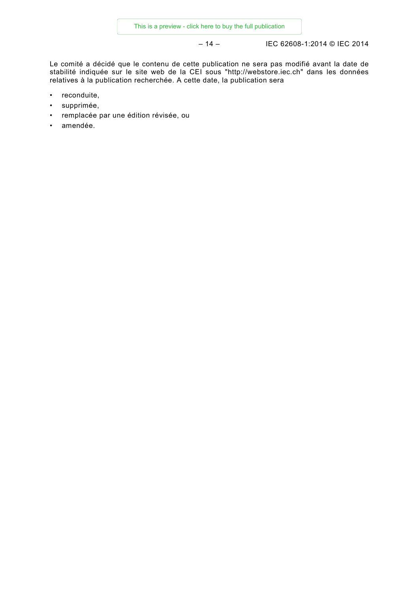– 14 – IEC 62608-1:2014 © IEC 2014

Le comité a décidé que le contenu de cette publication ne sera pas modifié avant la date de stabilité indiquée sur le site web de la CEI sous "http://webstore.iec.ch" dans les données relatives à la publication recherchée. A cette date, la publication sera

- reconduite,
- supprimée,
- remplacée par une édition révisée, ou
- amendée.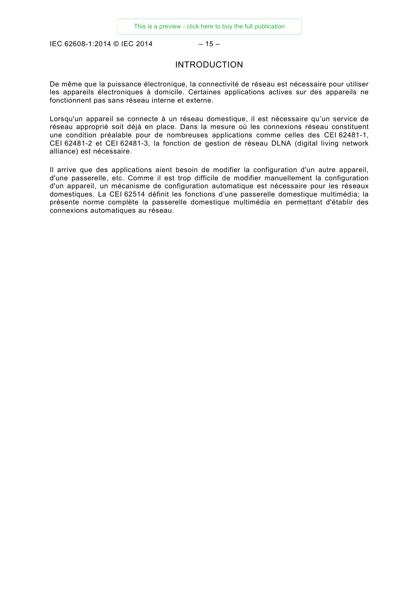IEC 62608-1:2014 © IEC 2014 – 15 –

# INTRODUCTION

De même que la puissance électronique, la connectivité de réseau est nécessaire pour utiliser les appareils électroniques à domicile. Certaines applications actives sur des appareils ne fonctionnent pas sans réseau interne et externe.

Lorsqu'un appareil se connecte à un réseau domestique, il est nécessaire qu'un service de réseau approprié soit déjà en place. Dans la mesure où les connexions réseau constituent une condition préalable pour de nombreuses applications comme celles des CEI 62481-1, CEI 62481-2 et CEI 62481-3, la fonction de gestion de réseau DLNA (digital living network alliance) est nécessaire.

Il arrive que des applications aient besoin de modifier la configuration d'un autre appareil, d'une passerelle, etc. Comme il est trop difficile de modifier manuellement la configuration d'un appareil, un mécanisme de configuration automatique est nécessaire pour les réseaux domestiques. La CEI 62514 définit les fonctions d'une passerelle domestique multimédia; la présente norme complète la passerelle domestique multimédia en permettant d'établir des connexions automatiques au réseau.